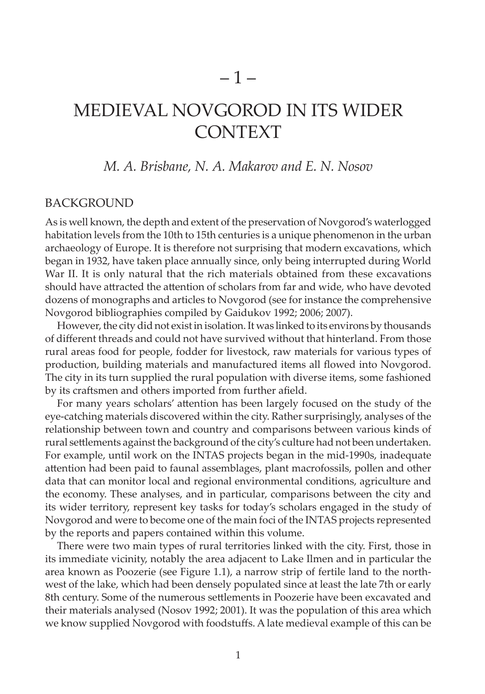## *M. A. Brisbane, N. A. Makarov and E. N. Nosov*

## **BACKGROUND**

As is well known, the depth and extent of the preservation of Novgorod's waterlogged habitation levels from the 10th to 15th centuries is a unique phenomenon in the urban archaeology of Europe. It is therefore not surprising that modern excavations, which began in 1932, have taken place annually since, only being interrupted during World War II. It is only natural that the rich materials obtained from these excavations should have attracted the attention of scholars from far and wide, who have devoted dozens of monographs and articles to Novgorod (see for instance the comprehensive Novgorod bibliographies compiled by Gaidukov 1992; 2006; 2007).

However, the city did not exist in isolation. It was linked to its environs by thousands of different threads and could not have survived without that hinterland. From those rural areas food for people, fodder for livestock, raw materials for various types of production, building materials and manufactured items all flowed into Novgorod. The city in its turn supplied the rural population with diverse items, some fashioned by its craftsmen and others imported from further afield.

For many years scholars' attention has been largely focused on the study of the eye-catching materials discovered within the city. Rather surprisingly, analyses of the relationship between town and country and comparisons between various kinds of rural settlements against the background of the city's culture had not been undertaken. For example, until work on the INTAS projects began in the mid-1990s, inadequate attention had been paid to faunal assemblages, plant macrofossils, pollen and other data that can monitor local and regional environmental conditions, agriculture and the economy. These analyses, and in particular, comparisons between the city and its wider territory, represent key tasks for today's scholars engaged in the study of Novgorod and were to become one of the main foci of the INTAS projects represented by the reports and papers contained within this volume.

There were two main types of rural territories linked with the city. First, those in its immediate vicinity, notably the area adjacent to Lake Ilmen and in particular the area known as Poozerie (see Figure 1.1), a narrow strip of fertile land to the northwest of the lake, which had been densely populated since at least the late 7th or early 8th century. Some of the numerous settlements in Poozerie have been excavated and their materials analysed (Nosov 1992; 2001). It was the population of this area which we know supplied Novgorod with foodstuffs. A late medieval example of this can be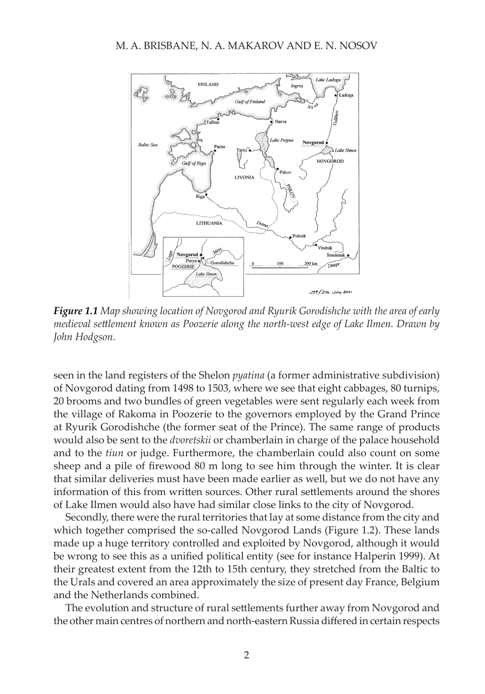

*Figure 1.1 Map showing location of Novgorod and Ryurik Gorodishche with the area of early medieval settlement known as Poozerie along the north-west edge of Lake Ilmen. Drawn by John Hodgson.*

seen in the land registers of the Shelon *pyatina* (a former administrative subdivision) of Novgorod dating from 1498 to 1503, where we see that eight cabbages, 80 turnips, 20 brooms and two bundles of green vegetables were sent regularly each week from the village of Rakoma in Poozerie to the governors employed by the Grand Prince at Ryurik Gorodishche (the former seat of the Prince). The same range of products would also be sent to the *dvoretskii* or chamberlain in charge of the palace household and to the *tiun* or judge. Furthermore, the chamberlain could also count on some sheep and a pile of firewood 80 m long to see him through the winter. It is clear that similar deliveries must have been made earlier as well, but we do not have any information of this from written sources. Other rural settlements around the shores of Lake Ilmen would also have had similar close links to the city of Novgorod.

Secondly, there were the rural territories that lay at some distance from the city and which together comprised the so-called Novgorod Lands (Figure 1.2). These lands made up a huge territory controlled and exploited by Novgorod, although it would be wrong to see this as a unified political entity (see for instance Halperin 1999). At their greatest extent from the 12th to 15th century, they stretched from the Baltic to the Urals and covered an area approximately the size of present day France, Belgium and the Netherlands combined.

The evolution and structure of rural settlements further away from Novgorod and the other main centres of northern and north-eastern Russia differed in certain respects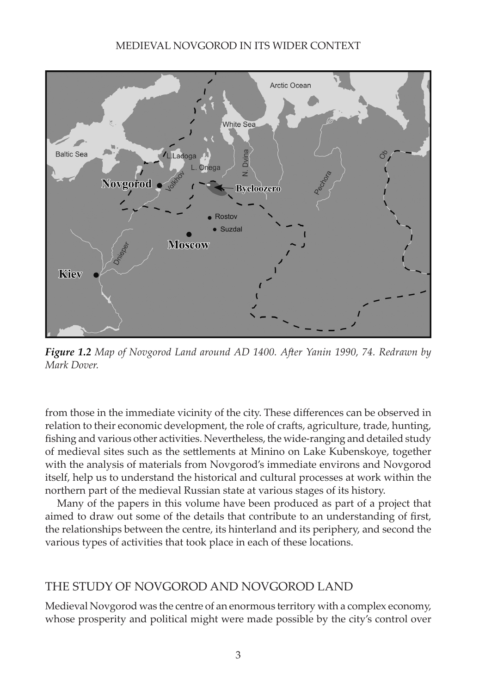

*Figure 1.2 Map of Novgorod Land around AD 1400. After Yanin 1990, 74. Redrawn by Mark Dover.*

from those in the immediate vicinity of the city. These differences can be observed in relation to their economic development, the role of crafts, agriculture, trade, hunting, fishing and various other activities. Nevertheless, the wide-ranging and detailed study of medieval sites such as the settlements at Minino on Lake Kubenskoye, together with the analysis of materials from Novgorod's immediate environs and Novgorod itself, help us to understand the historical and cultural processes at work within the northern part of the medieval Russian state at various stages of its history.

Many of the papers in this volume have been produced as part of a project that aimed to draw out some of the details that contribute to an understanding of first, the relationships between the centre, its hinterland and its periphery, and second the various types of activities that took place in each of these locations.

# THE STUDY OF NOVGOROD AND NOVGOROD LAND

Medieval Novgorod was the centre of an enormous territory with a complex economy, whose prosperity and political might were made possible by the city's control over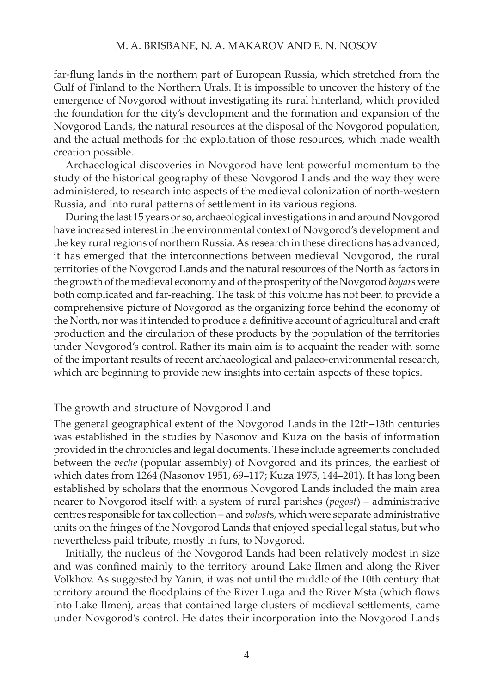#### M. A. Brisbane, N. A. Makarov and e. n. nosov

far-flung lands in the northern part of European Russia, which stretched from the Gulf of Finland to the Northern Urals. It is impossible to uncover the history of the emergence of Novgorod without investigating its rural hinterland, which provided the foundation for the city's development and the formation and expansion of the Novgorod Lands, the natural resources at the disposal of the Novgorod population, and the actual methods for the exploitation of those resources, which made wealth creation possible.

Archaeological discoveries in Novgorod have lent powerful momentum to the study of the historical geography of these Novgorod Lands and the way they were administered, to research into aspects of the medieval colonization of north-western Russia, and into rural patterns of settlement in its various regions.

During the last 15 years or so, archaeological investigations in and around Novgorod have increased interest in the environmental context of Novgorod's development and the key rural regions of northern Russia. As research in these directions has advanced, it has emerged that the interconnections between medieval Novgorod, the rural territories of the Novgorod Lands and the natural resources of the North as factors in the growth of the medieval economy and of the prosperity of the Novgorod *boyars* were both complicated and far-reaching. The task of this volume has not been to provide a comprehensive picture of Novgorod as the organizing force behind the economy of the North, nor was it intended to produce a definitive account of agricultural and craft production and the circulation of these products by the population of the territories under Novgorod's control. Rather its main aim is to acquaint the reader with some of the important results of recent archaeological and palaeo-environmental research, which are beginning to provide new insights into certain aspects of these topics.

## The growth and structure of Novgorod Land

The general geographical extent of the Novgorod Lands in the 12th–13th centuries was established in the studies by Nasonov and Kuza on the basis of information provided in the chronicles and legal documents. These include agreements concluded between the *veche* (popular assembly) of Novgorod and its princes, the earliest of which dates from 1264 (Nasonov 1951, 69–117; Kuza 1975, 144–201). It has long been established by scholars that the enormous Novgorod Lands included the main area nearer to Novgorod itself with a system of rural parishes (*pogost*) – administrative centres responsible for tax collection – and *volost*s, which were separate administrative units on the fringes of the Novgorod Lands that enjoyed special legal status, but who nevertheless paid tribute, mostly in furs, to Novgorod.

Initially, the nucleus of the Novgorod Lands had been relatively modest in size and was confined mainly to the territory around Lake Ilmen and along the River Volkhov. As suggested by Yanin, it was not until the middle of the 10th century that territory around the floodplains of the River Luga and the River Msta (which flows into Lake Ilmen), areas that contained large clusters of medieval settlements, came under Novgorod's control. He dates their incorporation into the Novgorod Lands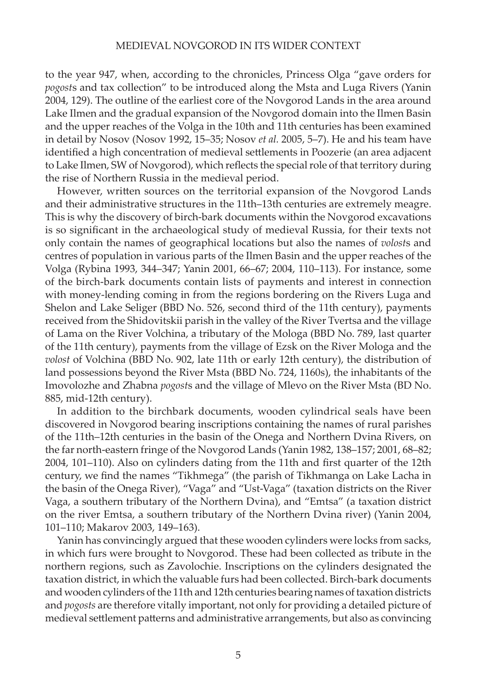to the year 947, when, according to the chronicles, Princess Olga "gave orders for *pogost*s and tax collection" to be introduced along the Msta and Luga Rivers (Yanin 2004, 129). The outline of the earliest core of the Novgorod Lands in the area around Lake Ilmen and the gradual expansion of the Novgorod domain into the Ilmen Basin and the upper reaches of the Volga in the 10th and 11th centuries has been examined in detail by Nosov (Nosov 1992, 15–35; Nosov *et al.* 2005, 5–7). He and his team have identified a high concentration of medieval settlements in Poozerie (an area adjacent to Lake Ilmen, SW of Novgorod), which reflects the special role of that territory during the rise of Northern Russia in the medieval period.

However, written sources on the territorial expansion of the Novgorod Lands and their administrative structures in the 11th–13th centuries are extremely meagre. This is why the discovery of birch-bark documents within the Novgorod excavations is so significant in the archaeological study of medieval Russia, for their texts not only contain the names of geographical locations but also the names of *volost*s and centres of population in various parts of the Ilmen Basin and the upper reaches of the Volga (Rybina 1993, 344–347; Yanin 2001, 66–67; 2004, 110–113). For instance, some of the birch-bark documents contain lists of payments and interest in connection with money-lending coming in from the regions bordering on the Rivers Luga and Shelon and Lake Seliger (BBD No. 526, second third of the 11th century), payments received from the Shidovitskii parish in the valley of the River Tvertsa and the village of Lama on the River Volchina, a tributary of the Mologa (BBD No. 789, last quarter of the 11th century), payments from the village of Ezsk on the River Mologa and the *volost* of Volchina (BBD No. 902, late 11th or early 12th century), the distribution of land possessions beyond the River Msta (BBD No. 724, 1160s), the inhabitants of the Imovolozhe and Zhabna *pogost*s and the village of Mlevo on the River Msta (BD No. 885, mid-12th century).

In addition to the birchbark documents, wooden cylindrical seals have been discovered in Novgorod bearing inscriptions containing the names of rural parishes of the 11th–12th centuries in the basin of the Onega and Northern Dvina Rivers, on the far north-eastern fringe of the Novgorod Lands (Yanin 1982, 138–157; 2001, 68–82; 2004, 101–110). Also on cylinders dating from the 11th and first quarter of the 12th century, we find the names "Tikhmega" (the parish of Tikhmanga on Lake Lacha in the basin of the Onega River), "Vaga" and "Ust-Vaga" (taxation districts on the River Vaga, a southern tributary of the Northern Dvina), and "Emtsa" (a taxation district on the river Emtsa, a southern tributary of the Northern Dvina river) (Yanin 2004, 101–110; Makarov 2003, 149–163).

Yanin has convincingly argued that these wooden cylinders were locks from sacks, in which furs were brought to Novgorod. These had been collected as tribute in the northern regions, such as Zavolochie. Inscriptions on the cylinders designated the taxation district, in which the valuable furs had been collected. Birch-bark documents and wooden cylinders of the 11th and 12th centuries bearing names of taxation districts and *pogosts* are therefore vitally important, not only for providing a detailed picture of medieval settlement patterns and administrative arrangements, but also as convincing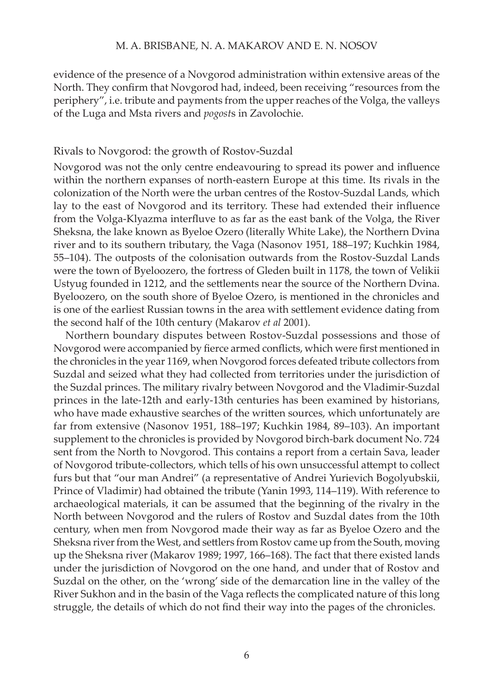#### M. A. Brisbane, N. A. Makarov and e. n. nosov

evidence of the presence of a Novgorod administration within extensive areas of the North. They confirm that Novgorod had, indeed, been receiving "resources from the periphery", i.e. tribute and payments from the upper reaches of the Volga, the valleys of the Luga and Msta rivers and *pogost*s in Zavolochie.

#### Rivals to Novgorod: the growth of Rostov-Suzdal

Novgorod was not the only centre endeavouring to spread its power and influence within the northern expanses of north-eastern Europe at this time. Its rivals in the colonization of the North were the urban centres of the Rostov-Suzdal Lands, which lay to the east of Novgorod and its territory. These had extended their influence from the Volga-Klyazma interfluve to as far as the east bank of the Volga, the River Sheksna, the lake known as Byeloe Ozero (literally White Lake), the Northern Dvina river and to its southern tributary, the Vaga (Nasonov 1951, 188–197; Kuchkin 1984, 55–104). The outposts of the colonisation outwards from the Rostov-Suzdal Lands were the town of Byeloozero, the fortress of Gleden built in 1178, the town of Velikii Ustyug founded in 1212, and the settlements near the source of the Northern Dvina. Byeloozero, on the south shore of Byeloe Ozero, is mentioned in the chronicles and is one of the earliest Russian towns in the area with settlement evidence dating from the second half of the 10th century (Makarov *et al* 2001).

Northern boundary disputes between Rostov-Suzdal possessions and those of Novgorod were accompanied by fierce armed conflicts, which were first mentioned in the chronicles in the year 1169, when Novgorod forces defeated tribute collectors from Suzdal and seized what they had collected from territories under the jurisdiction of the Suzdal princes. The military rivalry between Novgorod and the Vladimir-Suzdal princes in the late-12th and early-13th centuries has been examined by historians, who have made exhaustive searches of the written sources, which unfortunately are far from extensive (Nasonov 1951, 188–197; Kuchkin 1984, 89–103). An important supplement to the chronicles is provided by Novgorod birch-bark document No. 724 sent from the North to Novgorod. This contains a report from a certain Sava, leader of Novgorod tribute-collectors, which tells of his own unsuccessful attempt to collect furs but that "our man Andrei" (a representative of Andrei Yurievich Bogolyubskii, Prince of Vladimir) had obtained the tribute (Yanin 1993, 114–119). With reference to archaeological materials, it can be assumed that the beginning of the rivalry in the North between Novgorod and the rulers of Rostov and Suzdal dates from the 10th century, when men from Novgorod made their way as far as Byeloe Ozero and the Sheksna river from the West, and settlers from Rostov came up from the South, moving up the Sheksna river (Makarov 1989; 1997, 166–168). The fact that there existed lands under the jurisdiction of Novgorod on the one hand, and under that of Rostov and Suzdal on the other, on the 'wrong' side of the demarcation line in the valley of the River Sukhon and in the basin of the Vaga reflects the complicated nature of this long struggle, the details of which do not find their way into the pages of the chronicles.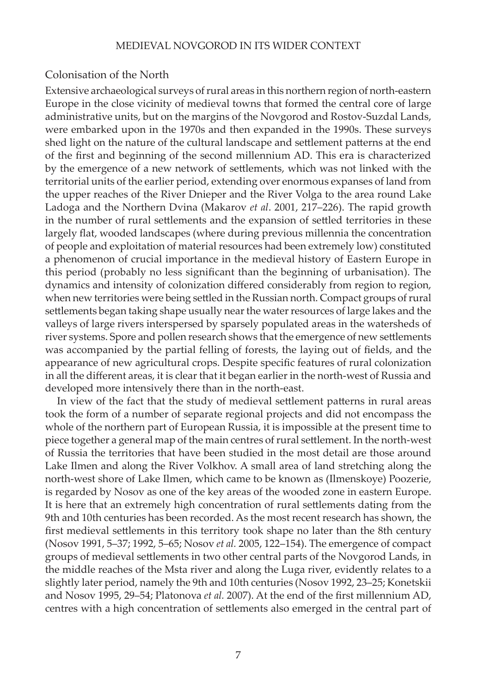### Colonisation of the North

Extensive archaeological surveys of rural areas in this northern region of north-eastern Europe in the close vicinity of medieval towns that formed the central core of large administrative units, but on the margins of the Novgorod and Rostov-Suzdal Lands, were embarked upon in the 1970s and then expanded in the 1990s. These surveys shed light on the nature of the cultural landscape and settlement patterns at the end of the first and beginning of the second millennium AD. This era is characterized by the emergence of a new network of settlements, which was not linked with the territorial units of the earlier period, extending over enormous expanses of land from the upper reaches of the River Dnieper and the River Volga to the area round Lake Ladoga and the Northern Dvina (Makarov *et al*. 2001, 217–226). The rapid growth in the number of rural settlements and the expansion of settled territories in these largely flat, wooded landscapes (where during previous millennia the concentration of people and exploitation of material resources had been extremely low) constituted a phenomenon of crucial importance in the medieval history of Eastern Europe in this period (probably no less significant than the beginning of urbanisation). The dynamics and intensity of colonization differed considerably from region to region, when new territories were being settled in the Russian north. Compact groups of rural settlements began taking shape usually near the water resources of large lakes and the valleys of large rivers interspersed by sparsely populated areas in the watersheds of river systems. Spore and pollen research shows that the emergence of new settlements was accompanied by the partial felling of forests, the laying out of fields, and the appearance of new agricultural crops. Despite specific features of rural colonization in all the different areas, it is clear that it began earlier in the north-west of Russia and developed more intensively there than in the north-east.

In view of the fact that the study of medieval settlement patterns in rural areas took the form of a number of separate regional projects and did not encompass the whole of the northern part of European Russia, it is impossible at the present time to piece together a general map of the main centres of rural settlement. In the north-west of Russia the territories that have been studied in the most detail are those around Lake Ilmen and along the River Volkhov. A small area of land stretching along the north-west shore of Lake Ilmen, which came to be known as (Ilmenskoye) Poozerie, is regarded by Nosov as one of the key areas of the wooded zone in eastern Europe. It is here that an extremely high concentration of rural settlements dating from the 9th and 10th centuries has been recorded. As the most recent research has shown, the first medieval settlements in this territory took shape no later than the 8th century (Nosov 1991, 5–37; 1992, 5–65; Nosov *et al.* 2005, 122–154). The emergence of compact groups of medieval settlements in two other central parts of the Novgorod Lands, in the middle reaches of the Msta river and along the Luga river, evidently relates to a slightly later period, namely the 9th and 10th centuries (Nosov 1992, 23–25; Konetskii and Nosov 1995, 29–54; Platonova *et al.* 2007). At the end of the first millennium AD, centres with a high concentration of settlements also emerged in the central part of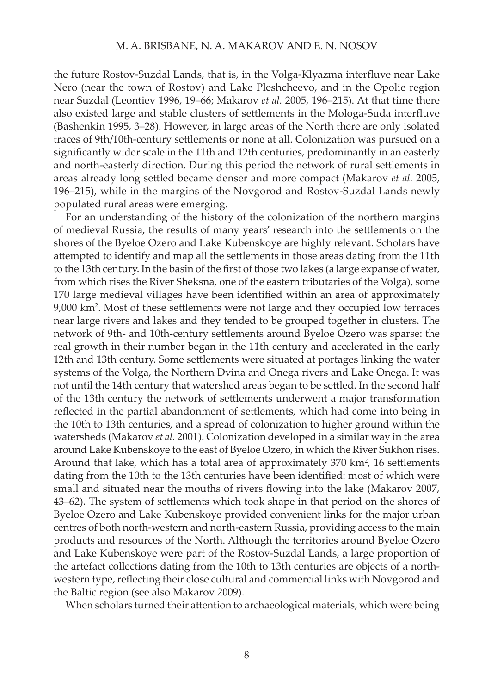the future Rostov-Suzdal Lands, that is, in the Volga-Klyazma interfluve near Lake Nero (near the town of Rostov) and Lake Pleshcheevo, and in the Opolie region near Suzdal (Leontiev 1996, 19–66; Makarov *et al.* 2005, 196–215). At that time there also existed large and stable clusters of settlements in the Mologa-Suda interfluve (Bashenkin 1995, 3–28). However, in large areas of the North there are only isolated traces of 9th/10th-century settlements or none at all. Colonization was pursued on a significantly wider scale in the 11th and 12th centuries, predominantly in an easterly and north-easterly direction. During this period the network of rural settlements in areas already long settled became denser and more compact (Makarov *et al.* 2005, 196–215), while in the margins of the Novgorod and Rostov-Suzdal Lands newly populated rural areas were emerging.

For an understanding of the history of the colonization of the northern margins of medieval Russia, the results of many years' research into the settlements on the shores of the Byeloe Ozero and Lake Kubenskoye are highly relevant. Scholars have attempted to identify and map all the settlements in those areas dating from the 11th to the 13th century. In the basin of the first of those two lakes (a large expanse of water, from which rises the River Sheksna, one of the eastern tributaries of the Volga), some 170 large medieval villages have been identified within an area of approximately 9,000 km2 . Most of these settlements were not large and they occupied low terraces near large rivers and lakes and they tended to be grouped together in clusters. The network of 9th- and 10th-century settlements around Byeloe Ozero was sparse: the real growth in their number began in the 11th century and accelerated in the early 12th and 13th century. Some settlements were situated at portages linking the water systems of the Volga, the Northern Dvina and Onega rivers and Lake Onega. It was not until the 14th century that watershed areas began to be settled. In the second half of the 13th century the network of settlements underwent a major transformation reflected in the partial abandonment of settlements, which had come into being in the 10th to 13th centuries, and a spread of colonization to higher ground within the watersheds (Makarov *et al.* 2001). Colonization developed in a similar way in the area around Lake Kubenskoye to the east of Byeloe Ozero, in which the River Sukhon rises. Around that lake, which has a total area of approximately  $370 \text{ km}^2$ , 16 settlements dating from the 10th to the 13th centuries have been identified: most of which were small and situated near the mouths of rivers flowing into the lake (Makarov 2007, 43–62). The system of settlements which took shape in that period on the shores of Byeloe Ozero and Lake Kubenskoye provided convenient links for the major urban centres of both north-western and north-eastern Russia, providing access to the main products and resources of the North. Although the territories around Byeloe Ozero and Lake Kubenskoye were part of the Rostov-Suzdal Lands, a large proportion of the artefact collections dating from the 10th to 13th centuries are objects of a northwestern type, reflecting their close cultural and commercial links with Novgorod and the Baltic region (see also Makarov 2009).

When scholars turned their attention to archaeological materials, which were being